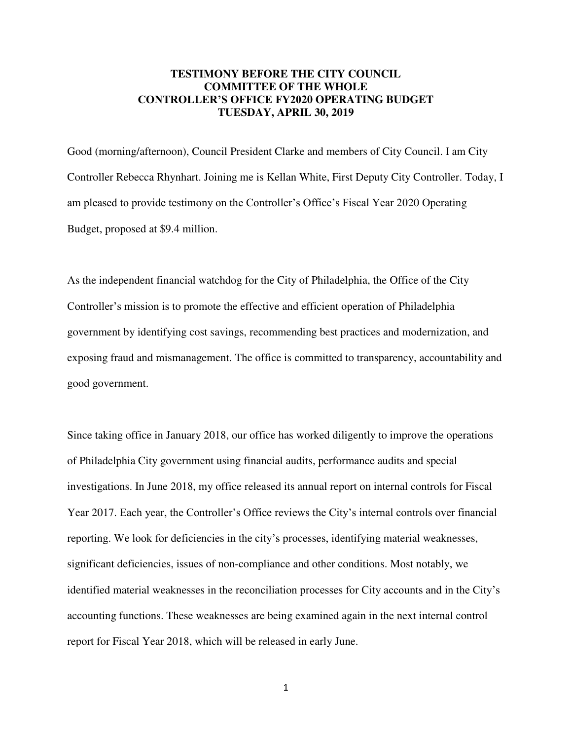## **TESTIMONY BEFORE THE CITY COUNCIL COMMITTEE OF THE WHOLE CONTROLLER'S OFFICE FY2020 OPERATING BUDGET TUESDAY, APRIL 30, 2019**

Good (morning/afternoon), Council President Clarke and members of City Council. I am City Controller Rebecca Rhynhart. Joining me is Kellan White, First Deputy City Controller. Today, I am pleased to provide testimony on the Controller's Office's Fiscal Year 2020 Operating Budget, proposed at \$9.4 million.

As the independent financial watchdog for the City of Philadelphia, the Office of the City Controller's mission is to promote the effective and efficient operation of Philadelphia government by identifying cost savings, recommending best practices and modernization, and exposing fraud and mismanagement. The office is committed to transparency, accountability and good government.

Since taking office in January 2018, our office has worked diligently to improve the operations of Philadelphia City government using financial audits, performance audits and special investigations. In June 2018, my office released its annual report on internal controls for Fiscal Year 2017. Each year, the Controller's Office reviews the City's internal controls over financial reporting. We look for deficiencies in the city's processes, identifying material weaknesses, significant deficiencies, issues of non-compliance and other conditions. Most notably, we identified material weaknesses in the reconciliation processes for City accounts and in the City's accounting functions. These weaknesses are being examined again in the next internal control report for Fiscal Year 2018, which will be released in early June.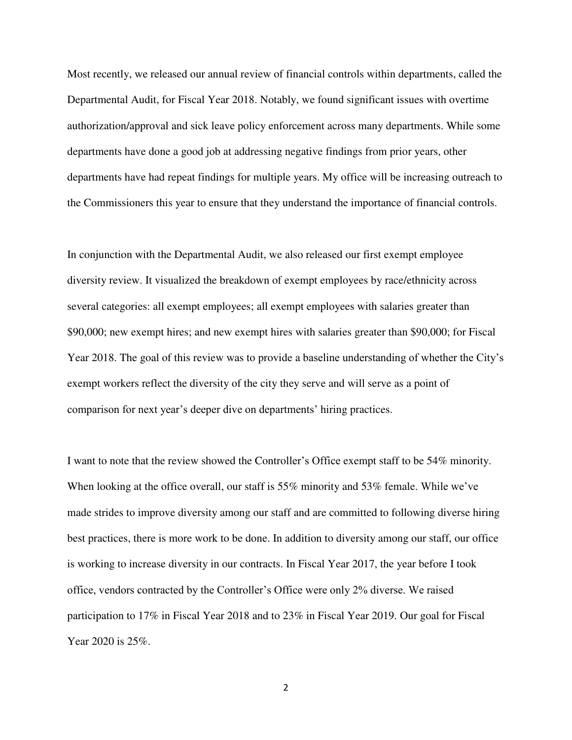Most recently, we released our annual review of financial controls within departments, called the Departmental Audit, for Fiscal Year 2018. Notably, we found significant issues with overtime authorization/approval and sick leave policy enforcement across many departments. While some departments have done a good job at addressing negative findings from prior years, other departments have had repeat findings for multiple years. My office will be increasing outreach to the Commissioners this year to ensure that they understand the importance of financial controls.

In conjunction with the Departmental Audit, we also released our first exempt employee diversity review. It visualized the breakdown of exempt employees by race/ethnicity across several categories: all exempt employees; all exempt employees with salaries greater than \$90,000; new exempt hires; and new exempt hires with salaries greater than \$90,000; for Fiscal Year 2018. The goal of this review was to provide a baseline understanding of whether the City's exempt workers reflect the diversity of the city they serve and will serve as a point of comparison for next year's deeper dive on departments' hiring practices.

I want to note that the review showed the Controller's Office exempt staff to be 54% minority. When looking at the office overall, our staff is 55% minority and 53% female. While we've made strides to improve diversity among our staff and are committed to following diverse hiring best practices, there is more work to be done. In addition to diversity among our staff, our office is working to increase diversity in our contracts. In Fiscal Year 2017, the year before I took office, vendors contracted by the Controller's Office were only 2% diverse. We raised participation to 17% in Fiscal Year 2018 and to 23% in Fiscal Year 2019. Our goal for Fiscal Year 2020 is 25%.

2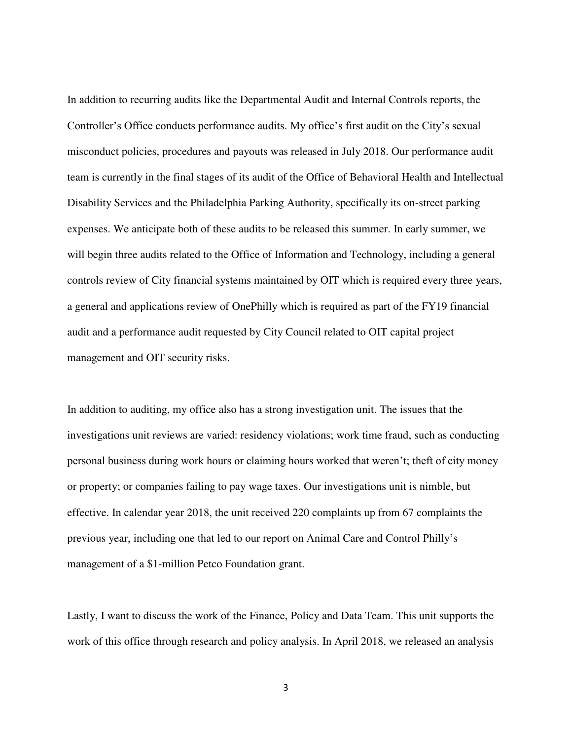In addition to recurring audits like the Departmental Audit and Internal Controls reports, the Controller's Office conducts performance audits. My office's first audit on the City's sexual misconduct policies, procedures and payouts was released in July 2018. Our performance audit team is currently in the final stages of its audit of the Office of Behavioral Health and Intellectual Disability Services and the Philadelphia Parking Authority, specifically its on-street parking expenses. We anticipate both of these audits to be released this summer. In early summer, we will begin three audits related to the Office of Information and Technology, including a general controls review of City financial systems maintained by OIT which is required every three years, a general and applications review of OnePhilly which is required as part of the FY19 financial audit and a performance audit requested by City Council related to OIT capital project management and OIT security risks.

In addition to auditing, my office also has a strong investigation unit. The issues that the investigations unit reviews are varied: residency violations; work time fraud, such as conducting personal business during work hours or claiming hours worked that weren't; theft of city money or property; or companies failing to pay wage taxes. Our investigations unit is nimble, but effective. In calendar year 2018, the unit received 220 complaints up from 67 complaints the previous year, including one that led to our report on Animal Care and Control Philly's management of a \$1-million Petco Foundation grant.

Lastly, I want to discuss the work of the Finance, Policy and Data Team. This unit supports the work of this office through research and policy analysis. In April 2018, we released an analysis